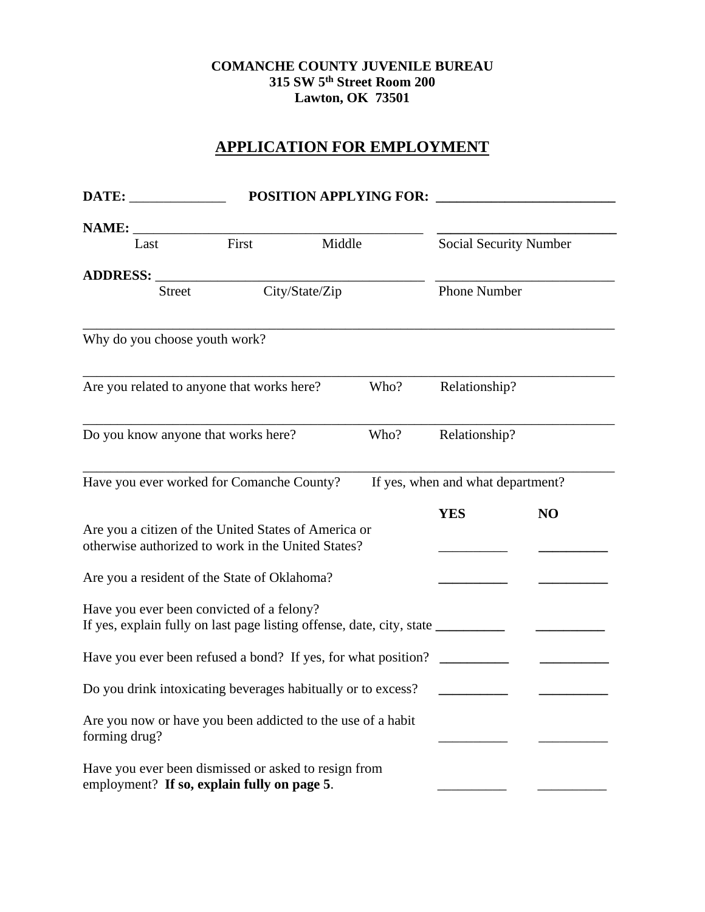### **COMANCHE COUNTY JUVENILE BUREAU 315 SW 5 th Street Room 200 Lawton, OK 73501**

# **APPLICATION FOR EMPLOYMENT**

| DATE:                                                                                                                         |                                                         |                | <b>POSITION APPLYING FOR:</b> |                                                 |                        |
|-------------------------------------------------------------------------------------------------------------------------------|---------------------------------------------------------|----------------|-------------------------------|-------------------------------------------------|------------------------|
| <b>NAME:</b>                                                                                                                  | <u> 1980 - John Stein, mars and de Britannie (b. 19</u> |                |                               |                                                 |                        |
| Last                                                                                                                          | First                                                   | Middle         |                               |                                                 | Social Security Number |
| <b>ADDRESS:</b><br><b>Street</b>                                                                                              |                                                         | City/State/Zip |                               | <b>Phone Number</b>                             |                        |
| Why do you choose youth work?                                                                                                 |                                                         |                |                               |                                                 |                        |
| Are you related to anyone that works here?                                                                                    |                                                         |                | Who?                          | Relationship?                                   |                        |
| Do you know anyone that works here?                                                                                           |                                                         |                | Who?                          | Relationship?                                   |                        |
| Have you ever worked for Comanche County?                                                                                     |                                                         |                |                               | If yes, when and what department?               |                        |
| Are you a citizen of the United States of America or<br>otherwise authorized to work in the United States?                    |                                                         |                |                               | <b>YES</b>                                      | N <sub>O</sub>         |
| Are you a resident of the State of Oklahoma?                                                                                  |                                                         |                |                               | <u> 1999 - Johann Barnett, fransk politiker</u> |                        |
| Have you ever been convicted of a felony?<br>If yes, explain fully on last page listing offense, date, city, state __________ |                                                         |                |                               |                                                 |                        |
|                                                                                                                               |                                                         |                |                               |                                                 |                        |
| Do you drink intoxicating beverages habitually or to excess?                                                                  |                                                         |                |                               |                                                 |                        |
| Are you now or have you been addicted to the use of a habit<br>forming drug?                                                  |                                                         |                |                               |                                                 |                        |
| Have you ever been dismissed or asked to resign from<br>employment? If so, explain fully on page 5.                           |                                                         |                |                               |                                                 |                        |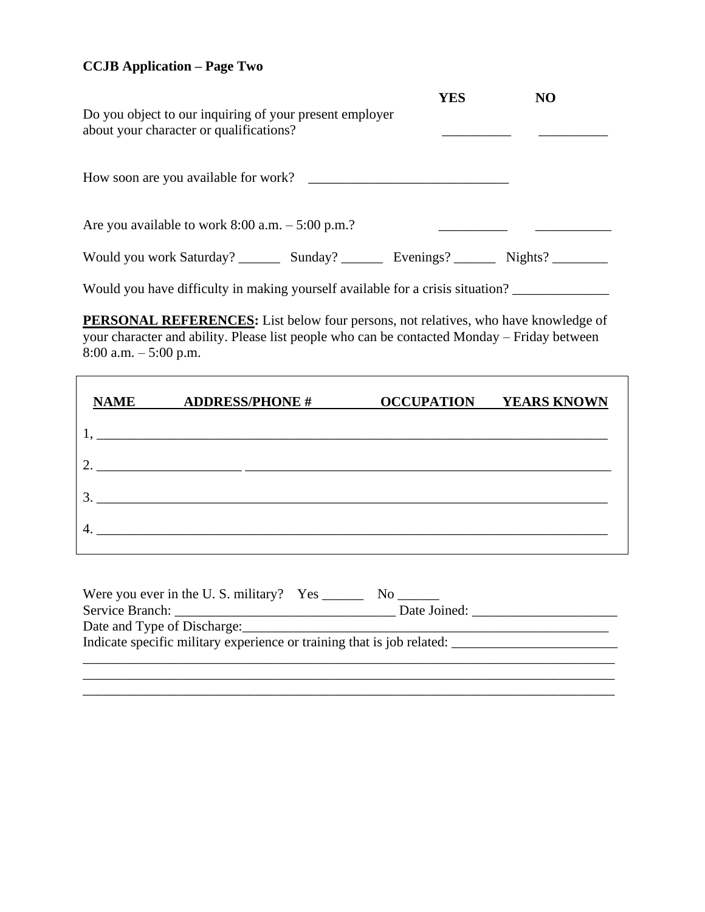# **CCJB Application – Page Two**

|                                                                                |                                                                                                    |  | <b>YES</b>                                                                                                                                                                               | N <sub>O</sub>     |
|--------------------------------------------------------------------------------|----------------------------------------------------------------------------------------------------|--|------------------------------------------------------------------------------------------------------------------------------------------------------------------------------------------|--------------------|
|                                                                                | Do you object to our inquiring of your present employer<br>about your character or qualifications? |  |                                                                                                                                                                                          |                    |
|                                                                                |                                                                                                    |  |                                                                                                                                                                                          |                    |
|                                                                                | Are you available to work $8:00$ a.m. $-5:00$ p.m.?                                                |  |                                                                                                                                                                                          |                    |
|                                                                                |                                                                                                    |  | Would you work Saturday? _________ Sunday? ____________ Evenings? ____________ Nights? ____________                                                                                      |                    |
| Would you have difficulty in making yourself available for a crisis situation? |                                                                                                    |  |                                                                                                                                                                                          |                    |
| $8:00$ a.m. $-5:00$ p.m.                                                       |                                                                                                    |  | <b>PERSONAL REFERENCES:</b> List below four persons, not relatives, who have knowledge of<br>your character and ability. Please list people who can be contacted Monday - Friday between |                    |
| <b>NAME</b>                                                                    | <b>ADDRESS/PHONE #</b>                                                                             |  | <b>OCCUPATION</b>                                                                                                                                                                        | <b>YEARS KNOWN</b> |
|                                                                                |                                                                                                    |  |                                                                                                                                                                                          |                    |
|                                                                                |                                                                                                    |  | 2. $\overline{\phantom{a}}$                                                                                                                                                              |                    |
|                                                                                |                                                                                                    |  |                                                                                                                                                                                          |                    |

| Were you ever in the U.S. military? Yes $\frac{1}{1}$                  |  | N <sub>O</sub> |  |  |
|------------------------------------------------------------------------|--|----------------|--|--|
|                                                                        |  | Date Joined:   |  |  |
| Date and Type of Discharge:                                            |  |                |  |  |
| Indicate specific military experience or training that is job related: |  |                |  |  |
|                                                                        |  |                |  |  |
|                                                                        |  |                |  |  |

\_\_\_\_\_\_\_\_\_\_\_\_\_\_\_\_\_\_\_\_\_\_\_\_\_\_\_\_\_\_\_\_\_\_\_\_\_\_\_\_\_\_\_\_\_\_\_\_\_\_\_\_\_\_\_\_\_\_\_\_\_\_\_\_\_\_\_\_\_\_\_\_\_\_\_\_\_

4. \_\_\_\_\_\_\_\_\_\_\_\_\_\_\_\_\_\_\_\_\_\_\_\_\_\_\_\_\_\_\_\_\_\_\_\_\_\_\_\_\_\_\_\_\_\_\_\_\_\_\_\_\_\_\_\_\_\_\_\_\_\_\_\_\_\_\_\_\_\_\_\_\_\_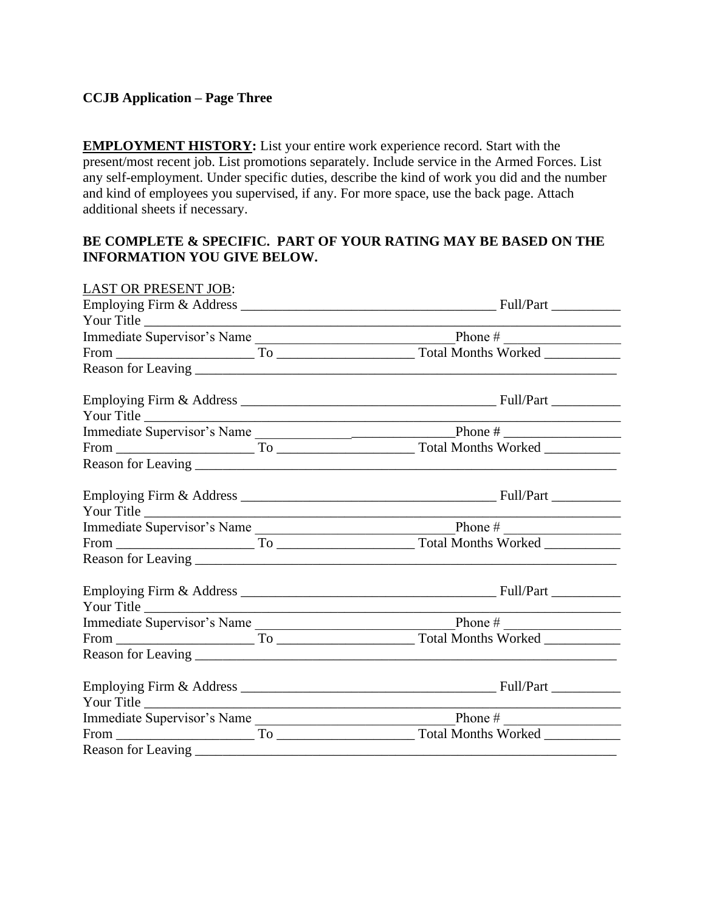#### **CCJB Application – Page Three**

**EMPLOYMENT HISTORY:** List your entire work experience record. Start with the present/most recent job. List promotions separately. Include service in the Armed Forces. List any self-employment. Under specific duties, describe the kind of work you did and the number and kind of employees you supervised, if any. For more space, use the back page. Attach additional sheets if necessary.

#### **BE COMPLETE & SPECIFIC. PART OF YOUR RATING MAY BE BASED ON THE INFORMATION YOU GIVE BELOW.**

| <b>LAST OR PRESENT JOB:</b> |                                                                   |
|-----------------------------|-------------------------------------------------------------------|
|                             |                                                                   |
| Your Title                  |                                                                   |
|                             | Immediate Supervisor's Name $\frac{\text{Phone}\ \#}{\text{္{5}}$ |
|                             |                                                                   |
|                             |                                                                   |
|                             |                                                                   |
| Your Title                  |                                                                   |
|                             |                                                                   |
|                             |                                                                   |
|                             |                                                                   |
|                             |                                                                   |
| Your Title                  |                                                                   |
|                             | Immediate Supervisor's Name $\frac{\text{Phone}\#}{\text{္{5}}}$  |
|                             |                                                                   |
|                             |                                                                   |
|                             |                                                                   |
| Your Title                  |                                                                   |
|                             |                                                                   |
|                             |                                                                   |
|                             |                                                                   |
|                             |                                                                   |
| Your Title                  |                                                                   |
|                             |                                                                   |
|                             |                                                                   |
|                             |                                                                   |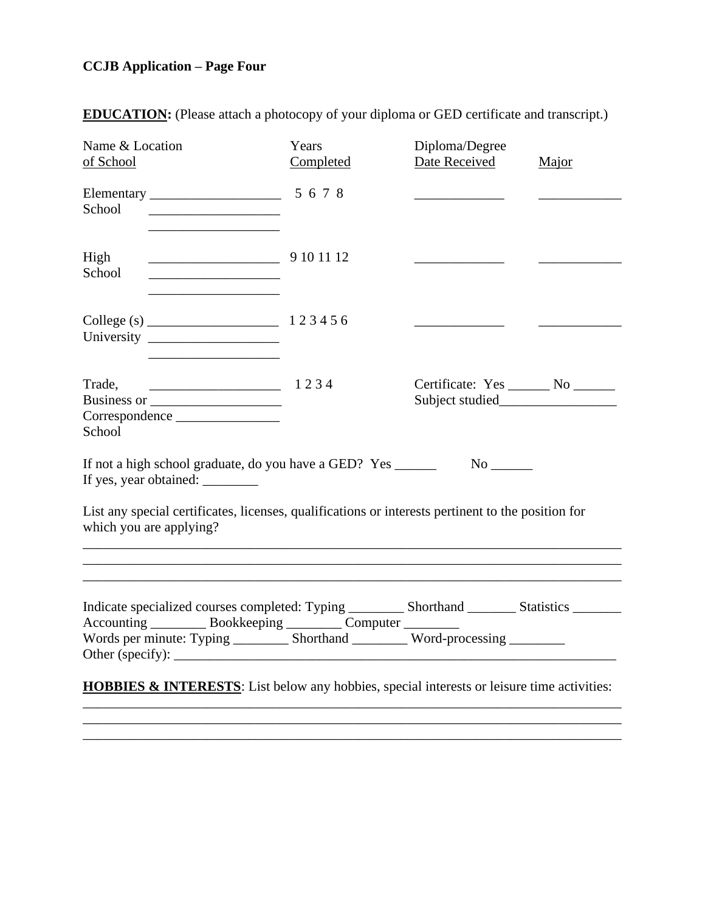## **CCJB Application – Page Four**

| Name & Location<br>of School                                                                                                                                          | Years<br>Completed                                                               | Diploma/Degree<br>Date Received        | Major |
|-----------------------------------------------------------------------------------------------------------------------------------------------------------------------|----------------------------------------------------------------------------------|----------------------------------------|-------|
| School<br><u> 1989 - Johann Barbara, martxa al III-lea (h. 1974).</u>                                                                                                 |                                                                                  |                                        |       |
| High<br>9101112<br>School<br>the control of the control of the control of the control of the                                                                          |                                                                                  |                                        |       |
|                                                                                                                                                                       |                                                                                  |                                        |       |
| Trade,<br>$\frac{1234}{ }$<br>Correspondence<br>School                                                                                                                |                                                                                  | Certificate: Yes _________ No ________ |       |
| If not a high school graduate, do you have a GED? Yes ______                                                                                                          |                                                                                  |                                        |       |
| List any special certificates, licenses, qualifications or interests pertinent to the position for<br>which you are applying?                                         | ,我们也不能在这里的时候,我们也不能在这里的时候,我们也不能会在这里的时候,我们也不能会在这里的时候,我们也不能会在这里的时候,我们也不能会在这里的时候,我们也 |                                        |       |
| ,我们也不会有什么。""我们的人,我们也不会有什么?""我们的人,我们也不会有什么?""我们的人,我们也不会有什么?""我们的人,我们也不会有什么?""我们的人                                                                                      |                                                                                  |                                        |       |
| Indicate specialized courses completed: Typing ___________ Shorthand _________ Statistics _________<br>Accounting __________ Bookkeeping _________ Computer _________ |                                                                                  |                                        |       |
| Words per minute: Typing __________ Shorthand __________ Word-processing ________                                                                                     |                                                                                  |                                        |       |
| <b>HOBBIES &amp; INTERESTS:</b> List below any hobbies, special interests or leisure time activities:                                                                 |                                                                                  |                                        |       |

\_\_\_\_\_\_\_\_\_\_\_\_\_\_\_\_\_\_\_\_\_\_\_\_\_\_\_\_\_\_\_\_\_\_\_\_\_\_\_\_\_\_\_\_\_\_\_\_\_\_\_\_\_\_\_\_\_\_\_\_\_\_\_\_\_\_\_\_\_\_\_\_\_\_\_\_\_\_ \_\_\_\_\_\_\_\_\_\_\_\_\_\_\_\_\_\_\_\_\_\_\_\_\_\_\_\_\_\_\_\_\_\_\_\_\_\_\_\_\_\_\_\_\_\_\_\_\_\_\_\_\_\_\_\_\_\_\_\_\_\_\_\_\_\_\_\_\_\_\_\_\_\_\_\_\_\_

**EDUCATION:** (Please attach a photocopy of your diploma or GED certificate and transcript.)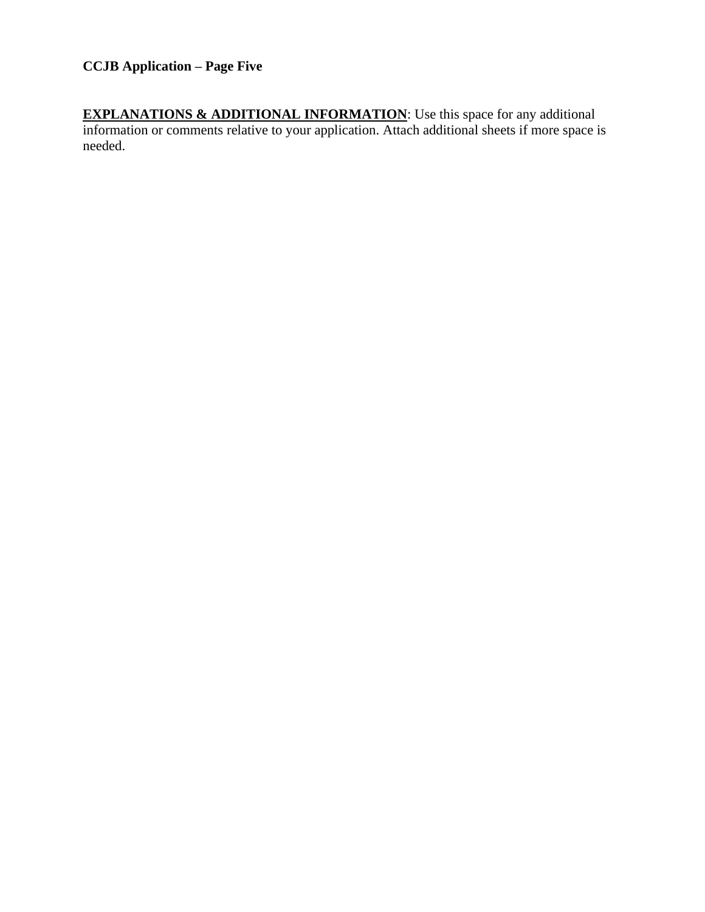### **CCJB Application – Page Five**

**EXPLANATIONS & ADDITIONAL INFORMATION:** Use this space for any additional information or comments relative to your application. Attach additional sheets if more space is needed.